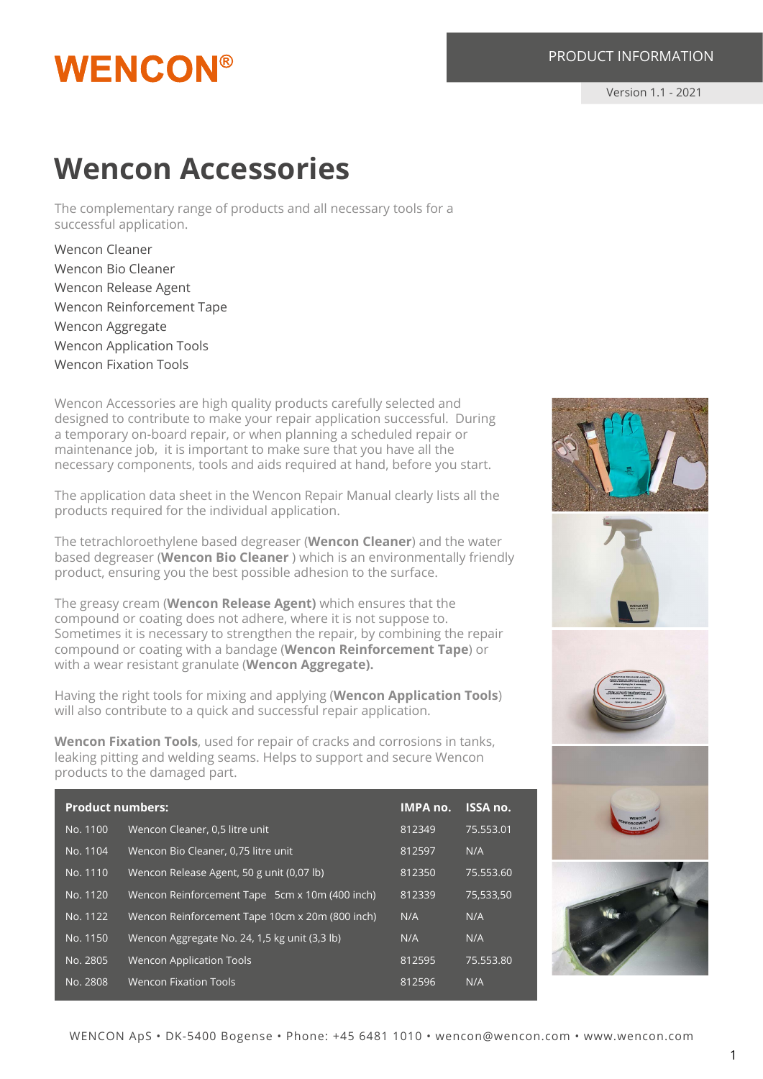## **WENCON®**

#### PRODUCT INFORMATION

Version 1.1 - 2021

### **Wencon Accessories**

The complementary range of products and all necessary tools for a successful application.

Wencon Cleaner Wencon Bio Cleaner Wencon Release Agent Wencon Reinforcement Tape Wencon Aggregate Wencon Application Tools Wencon Fixation Tools

Wencon Accessories are high quality products carefully selected and designed to contribute to make your repair application successful. During a temporary on-board repair, or when planning a scheduled repair or maintenance job, it is important to make sure that you have all the necessary components, tools and aids required at hand, before you start.

The application data sheet in the Wencon Repair Manual clearly lists all the products required for the individual application.

The tetrachloroethylene based degreaser (**Wencon Cleaner**) and the water based degreaser (**Wencon Bio Cleaner** ) which is an environmentally friendly product, ensuring you the best possible adhesion to the surface.

The greasy cream (**Wencon Release Agent)** which ensures that the compound or coating does not adhere, where it is not suppose to. Sometimes it is necessary to strengthen the repair, by combining the repair compound or coating with a bandage (**Wencon Reinforcement Tape**) or with a wear resistant granulate (**Wencon Aggregate).**

Having the right tools for mixing and applying (**Wencon Application Tools**) will also contribute to a quick and successful repair application.

**Wencon Fixation Tools**, used for repair of cracks and corrosions in tanks, leaking pitting and welding seams. Helps to support and secure Wencon products to the damaged part.

| <b>Product numbers:</b> |                                                 | <b>IMPA no.</b> | <b>ISSA no.</b> |
|-------------------------|-------------------------------------------------|-----------------|-----------------|
| No. 1100                | Wencon Cleaner, 0,5 litre unit                  | 812349          | 75.553.01       |
| No. 1104                | Wencon Bio Cleaner, 0.75 litre unit             | 812597          | N/A             |
| No. 1110                | Wencon Release Agent, 50 g unit (0,07 lb)       | 812350          | 75.553.60       |
| No. 1120                | Wencon Reinforcement Tape 5cm x 10m (400 inch)  | 812339          | 75,533,50       |
| No. 1122                | Wencon Reinforcement Tape 10cm x 20m (800 inch) | N/A             | N/A             |
| No. 1150                | Wencon Aggregate No. 24, 1,5 kg unit (3,3 lb)   | N/A             | N/A             |
| No. 2805                | <b>Wencon Application Tools</b>                 | 812595          | 75.553.80       |
| No. 2808                | <b>Wencon Fixation Tools</b>                    | 812596          | N/A             |